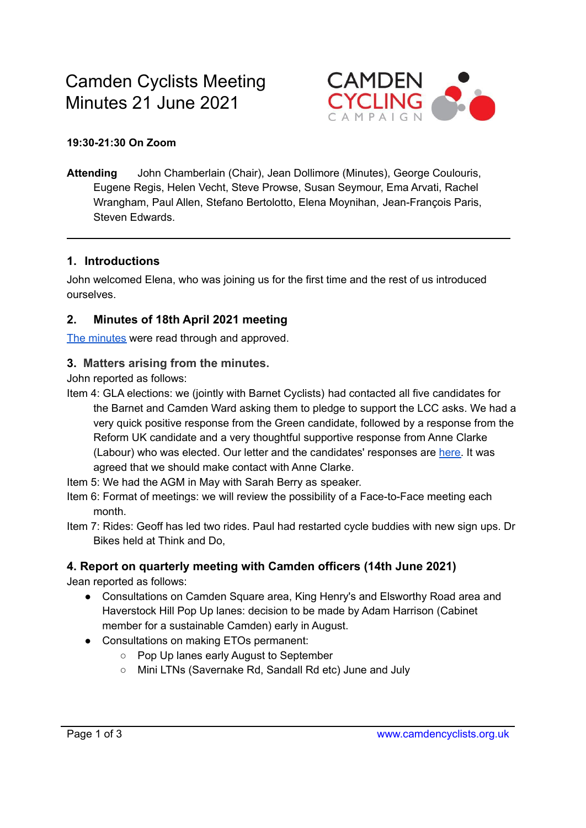

#### **19:30-21:30 On Zoom**

**Attending** John Chamberlain (Chair), Jean Dollimore (Minutes), George Coulouris, Eugene Regis, Helen Vecht, Steve Prowse, Susan Seymour, Ema Arvati, Rachel Wrangham, Paul Allen, Stefano Bertolotto, Elena Moynihan, Jean-François Paris, Steven Edwards.

#### **1. Introductions**

John welcomed Elena, who was joining us for the first time and the rest of us introduced ourselves.

### **2. Minutes of 18th April 2021 meeting**

The [minutes](https://camdencyclists.org.uk/wp-content/uploads/2021/06/CCC-meeting-minutes-19th-April-2021.pdf) were read through and approved.

### **3. Matters arising from the minutes.**

John reported as follows:

- Item 4: GLA elections: we (jointly with Barnet Cyclists) had contacted all five candidates for the Barnet and Camden Ward asking them to pledge to support the LCC asks. We had a very quick positive response from the Green candidate, followed by a response from the Reform UK candidate and a very thoughtful supportive response from Anne Clarke (Labour) who was elected. Our letter and the candidates' responses are [here.](https://camdencyclists.org.uk/2021/04/responses-to-the-lcc-asks-in-gla-may-2021-asks/) It was agreed that we should make contact with Anne Clarke.
- Item 5: We had the AGM in May with Sarah Berry as speaker.
- Item 6: Format of meetings: we will review the possibility of a Face-to-Face meeting each month.
- Item 7: Rides: Geoff has led two rides. Paul had restarted cycle buddies with new sign ups. Dr Bikes held at Think and Do,

## **4. Report on quarterly meeting with Camden officers (14th June 2021)**

Jean reported as follows:

- Consultations on Camden Square area, King Henry's and Elsworthy Road area and Haverstock Hill Pop Up lanes: decision to be made by Adam Harrison (Cabinet member for a sustainable Camden) early in August.
- Consultations on making ETOs permanent:
	- Pop Up lanes early August to September
	- Mini LTNs (Savernake Rd, Sandall Rd etc) June and July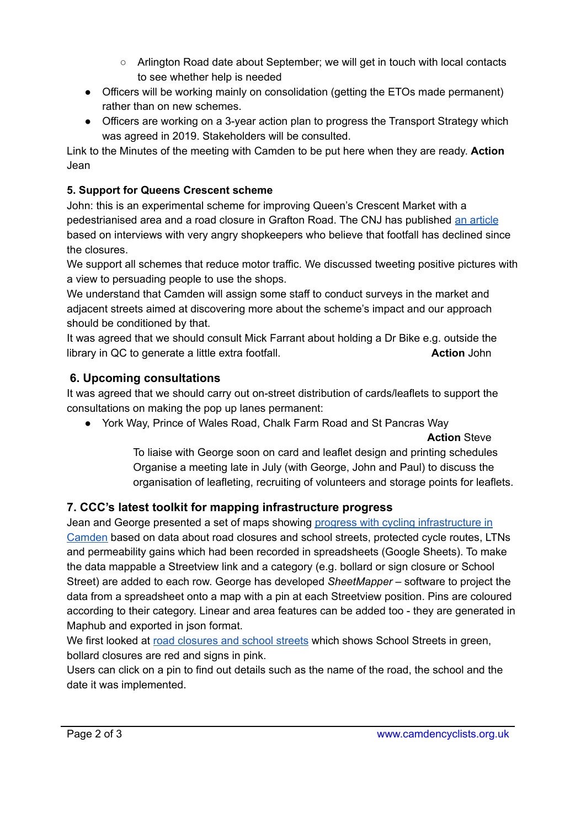- Arlington Road date about September; we will get in touch with local contacts to see whether help is needed
- Officers will be working mainly on consolidation (getting the ETOs made permanent) rather than on new schemes.
- Officers are working on a 3-year action plan to progress the Transport Strategy which was agreed in 2019. Stakeholders will be consulted.

Link to the Minutes of the meeting with Camden to be put here when they are ready. **Action** Jean

## **5. Support for Queens Crescent scheme**

John: this is an experimental scheme for improving Queen's Crescent Market with a pedestrianised area and a road closure in Grafton Road. The CNJ has published an [article](http://camdennewjournal.com/article/on-road-to-ruin-shops-and-locals-urge-u-turn-over-traffic-scheme) based on interviews with very angry shopkeepers who believe that footfall has declined since the closures.

We support all schemes that reduce motor traffic. We discussed tweeting positive pictures with a view to persuading people to use the shops.

We understand that Camden will assign some staff to conduct surveys in the market and adjacent streets aimed at discovering more about the scheme's impact and our approach should be conditioned by that.

It was agreed that we should consult Mick Farrant about holding a Dr Bike e.g. outside the library in QC to generate a little extra footfall. **Action** John **Action** John

## **6. Upcoming consultations**

It was agreed that we should carry out on-street distribution of cards/leaflets to support the consultations on making the pop up lanes permanent:

● York Way, Prince of Wales Road, Chalk Farm Road and St Pancras Way

### **Action** Steve

To liaise with George soon on card and leaflet design and printing schedules Organise a meeting late in July (with George, John and Paul) to discuss the organisation of leafleting, recruiting of volunteers and storage points for leaflets.

# **7. CCC's latest toolkit for mapping infrastructure progress**

Jean and George presented a set of maps showing progress with cycling [infrastructure](https://camdencyclists.org.uk/camden/camden-data-maps/) in [Camden](https://camdencyclists.org.uk/camden/camden-data-maps/) based on data about road closures and school streets, protected cycle routes, LTNs and permeability gains which had been recorded in spreadsheets (Google Sheets). To make the data mappable a Streetview link and a category (e.g. bollard or sign closure or School Street) are added to each row. George has developed *SheetMapper* – software to project the data from a spreadsheet onto a map with a pin at each Streetview position. Pins are coloured according to their category. Linear and area features can be added too - they are generated in Maphub and exported in json format.

We first looked at road [closures](https://camdencyclists.org.uk/camden/camden-data-maps/point-closures-in-camden/) and school streets which shows School Streets in green, bollard closures are red and signs in pink.

Users can click on a pin to find out details such as the name of the road, the school and the date it was implemented.